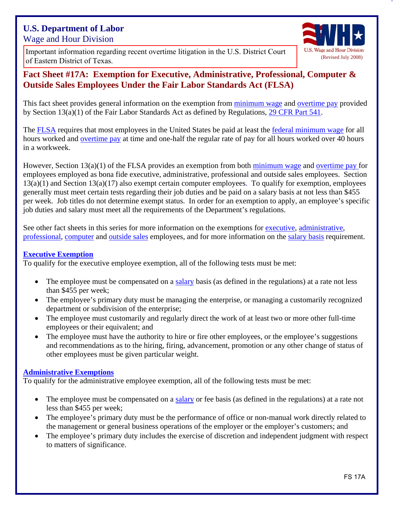# **U.S. Department of Labor**  Wage and Hour Division

Important information regard<br>of Eastern District of Texas. [Important information regarding recent overtime litigation in the U.S. District Court](http://www.dol.gov/whd/overtime/final2016/litigation.htm) 



# **Fact Sheet #17A: Exemption for Executive, Administrative, Professional, Computer & Outside Sales Employees Under the Fair Labor Standards Act (FLSA)**

This fact sheet provides general information on the exemption from [minimum wage](http://www.dol.gov/WHD/minimumwage.htm) and [overtime pay](http://www.dol.gov/whd/overtime_pay.htm) provided by Section 13(a)(1) of the Fair Labor Standards Act as defined by Regulations, [29 CFR Part 541.](http://www.dol.gov/dol/allcfr/Title_29/Part_541/toc.htm)

The [FLSA](http://www.dol.gov/whd/flsa/index.htm) requires that most employees in the United States be paid at least the [federal minimum wage](http://www.dol.gov/WHD/minimumwage.htm) for all hours worked and [overtime pay](http://www.dol.gov/whd/overtime_pay.htm) at time and one-half the regular rate of pay for all hours worked over 40 hours in a workweek.

However, Section 13(a)(1) of the FLSA provides an exemption from both [minimum wage](http://www.dol.gov/WHD/minimumwage.htm) and [overtime pay](http://www.dol.gov/whd/overtime_pay.htm) for employees employed as bona fide executive, administrative, professional and outside sales employees. Section  $13(a)(1)$  and Section  $13(a)(17)$  also exempt certain computer employees. To qualify for exemption, employees generally must meet certain tests regarding their job duties and be paid on a salary basis at not less than \$455 per week. Job titles do not determine exempt status. In order for an exemption to apply, an employee's specific job duties and salary must meet all the requirements of the Department's regulations.

See other fact sheets in this series for more information on the exemptions for [executive,](http://www.dol.gov/whd/overtime/fs17b_executive.pdf) [administrative](http://www.dol.gov/whd/overtime/fs17c_administrative.pdf), [professional,](http://www.dol.gov/whd/overtime/fs17d_professional.pdf) [computer](http://www.dol.gov/whd/overtime/fs17e_computer.pdf) and [outside sales](http://www.dol.gov/whd/overtime/fs17f_outsidesales.pdf) employees, and for more information on the [salary basis](http://www.dol.gov/whd/overtime/fs17g_salary.pdf) requirement.

### **[Executive Exemption](http://www.dol.gov/whd/overtime/fs17b_executive.pdf)**

To qualify for the executive employee exemption, all of the following tests must be met:

- The employee must be compensated on a [salary basis](http://www.dol.gov/whd/overtime/fs17g_salary.pdf) (as defined in the regulations) at a rate not less than \$455 per week;
- The employee's primary duty must be managing the enterprise, or managing a customarily recognized department or subdivision of the enterprise;
- The employee must customarily and regularly direct the work of at least two or more other full-time employees or their equivalent; and
- The employee must have the authority to hire or fire other employees, or the employee's suggestions and recommendations as to the hiring, firing, advancement, promotion or any other change of status of other employees must be given particular weight.

### **[Administrative Exemptions](http://www.dol.gov/whd/overtime/fs17c_administrative.pdf)**

To qualify for the administrative employee exemption, all of the following tests must be met:

- The employee must be compensated on a [salary](http://www.dol.gov/whd/overtime/fs17g_salary.pdf) or fee basis (as defined in the regulations) at a rate not less than \$455 per week;
- The employee's primary duty must be the performance of office or non-manual work directly related to the management or general business operations of the employer or the employer's customers; and
- The employee's primary duty includes the exercise of discretion and independent judgment with respect to matters of significance.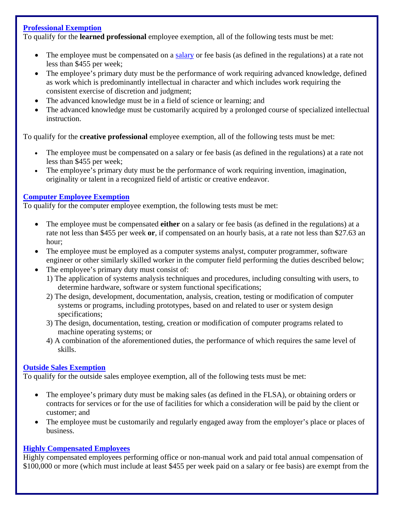### **[Professional Exemption](http://www.dol.gov/whd/overtime/fs17d_professional.pdf)**

To qualify for the **learned professional** employee exemption, all of the following tests must be met:

- The employee must be compensated on a [salary](http://www.dol.gov/whd/overtime/fs17g_salary.pdf) or fee basis (as defined in the regulations) at a rate not less than \$455 per week;
- The employee's primary duty must be the performance of work requiring advanced knowledge, defined as work which is predominantly intellectual in character and which includes work requiring the consistent exercise of discretion and judgment;
- The advanced knowledge must be in a field of science or learning; and
- The advanced knowledge must be customarily acquired by a prolonged course of specialized intellectual instruction.

To qualify for the **creative professional** employee exemption, all of the following tests must be met:

- The employee must be compensated on a [salary](http://www.dol.gov/whd/overtime/fs17g_salary.htm) or fee basis (as defined in the regulations) at a rate not less than \$455 per week;
- The employee's primary duty must be the performance of work requiring invention, imagination, originality or talent in a recognized field of artistic or creative endeavor.

## **[Computer Employee Exemption](http://www.dol.gov/whd/overtime/fs17e_computer.pdf)**

To qualify for the computer employee exemption, the following tests must be met:

- The employee must be compensated **either** on a [salary](http://www.dol.gov/whd/overtime/fs17g_salary.htm) or fee basis (as defined in the regulations) at a rate not less than \$455 per week **or**, if compensated on an hourly basis, at a rate not less than \$27.63 an hour;
- The employee must be employed as a computer systems analyst, computer programmer, software engineer or other similarly skilled worker in the computer field performing the duties described below;
- The employee's primary duty must consist of:
	- 1) The application of systems analysis techniques and procedures, including consulting with users, to determine hardware, software or system functional specifications;
	- 2) The design, development, documentation, analysis, creation, testing or modification of computer systems or programs, including prototypes, based on and related to user or system design specifications;
	- 3) The design, documentation, testing, creation or modification of computer programs related to machine operating systems; or
	- 4) A combination of the aforementioned duties, the performance of which requires the same level of skills.

## **[Outside Sales Exemption](http://www.dol.gov/whd/overtime/fs17f_outsidesales.htm)**

To qualify for the outside sales employee exemption, all of the following tests must be met:

- The employee's primary duty must be making sales (as defined in the FLSA), or obtaining orders or contracts for services or for the use of facilities for which a consideration will be paid by the client or customer; and
- The employee must be customarily and regularly engaged away from the employer's place or places of business.

## **[Highly Compensated Employees](http://www.dol.gov/whd/overtime/fs17h_highly_comp.htm)**

Highly compensated employees performing office or non-manual work and paid total annual compensation of \$100,000 or more (which must include at least \$455 per week paid on a salary or fee basis) are exempt from the